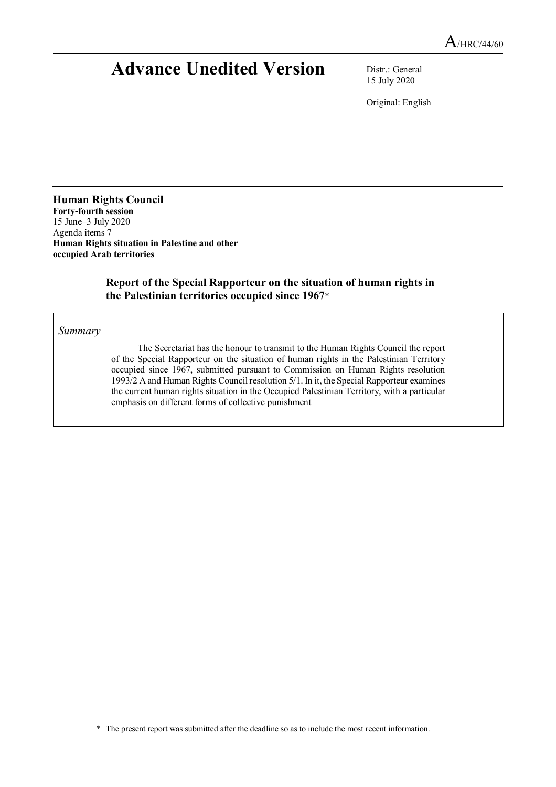# **Advance Unedited Version** Distr.: General

15 July 2020

Original: English

**Human Rights Council Forty-fourth session**  15 June–3 July 2020 Agenda items 7 **Human Rights situation in Palestine and other occupied Arab territories** 

# **Report of the Special Rapporteur on the situation of human rights in the Palestinian territories occupied since 1967**\*

*Summary* 

 $\overline{a}$ 

The Secretariat has the honour to transmit to the Human Rights Council the report of the Special Rapporteur on the situation of human rights in the Palestinian Territory occupied since 1967, submitted pursuant to Commission on Human Rights resolution 1993/2 A and Human Rights Council resolution 5/1. In it, the Special Rapporteur examines the current human rights situation in the Occupied Palestinian Territory, with a particular emphasis on different forms of collective punishment

 <sup>\*</sup> The present report was submitted after the deadline so as to include the most recent information.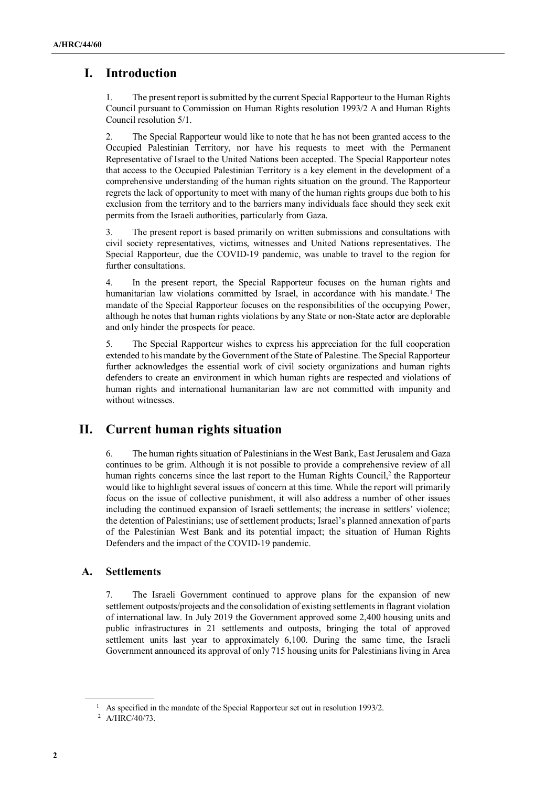# **I. Introduction**

1. The present report is submitted by the current Special Rapporteur to the Human Rights Council pursuant to Commission on Human Rights resolution 1993/2 A and Human Rights Council resolution 5/1.

2. The Special Rapporteur would like to note that he has not been granted access to the Occupied Palestinian Territory, nor have his requests to meet with the Permanent Representative of Israel to the United Nations been accepted. The Special Rapporteur notes that access to the Occupied Palestinian Territory is a key element in the development of a comprehensive understanding of the human rights situation on the ground. The Rapporteur regrets the lack of opportunity to meet with many of the human rights groups due both to his exclusion from the territory and to the barriers many individuals face should they seek exit permits from the Israeli authorities, particularly from Gaza.

3. The present report is based primarily on written submissions and consultations with civil society representatives, victims, witnesses and United Nations representatives. The Special Rapporteur, due the COVID-19 pandemic, was unable to travel to the region for further consultations.

4. In the present report, the Special Rapporteur focuses on the human rights and humanitarian law violations committed by Israel, in accordance with his mandate.<sup>1</sup> The mandate of the Special Rapporteur focuses on the responsibilities of the occupying Power, although he notes that human rights violations by any State or non-State actor are deplorable and only hinder the prospects for peace.

5. The Special Rapporteur wishes to express his appreciation for the full cooperation extended to his mandate by the Government of the State of Palestine. The Special Rapporteur further acknowledges the essential work of civil society organizations and human rights defenders to create an environment in which human rights are respected and violations of human rights and international humanitarian law are not committed with impunity and without witnesses.

# **II. Current human rights situation**

6. The human rights situation of Palestinians in the West Bank, East Jerusalem and Gaza continues to be grim. Although it is not possible to provide a comprehensive review of all human rights concerns since the last report to the Human Rights Council,<sup>2</sup> the Rapporteur would like to highlight several issues of concern at this time. While the report will primarily focus on the issue of collective punishment, it will also address a number of other issues including the continued expansion of Israeli settlements; the increase in settlers' violence; the detention of Palestinians; use of settlement products; Israel's planned annexation of parts of the Palestinian West Bank and its potential impact; the situation of Human Rights Defenders and the impact of the COVID-19 pandemic.

# **A. Settlements**

7. The Israeli Government continued to approve plans for the expansion of new settlement outposts/projects and the consolidation of existing settlements in flagrant violation of international law. In July 2019 the Government approved some 2,400 housing units and public infrastructures in 21 settlements and outposts, bringing the total of approved settlement units last year to approximately 6,100. During the same time, the Israeli Government announced its approval of only 715 housing units for Palestinians living in Area

<sup>&</sup>lt;sup>1</sup> As specified in the mandate of the Special Rapporteur set out in resolution 1993/2.

<sup>&</sup>lt;sup>2</sup> A/HRC/40/73.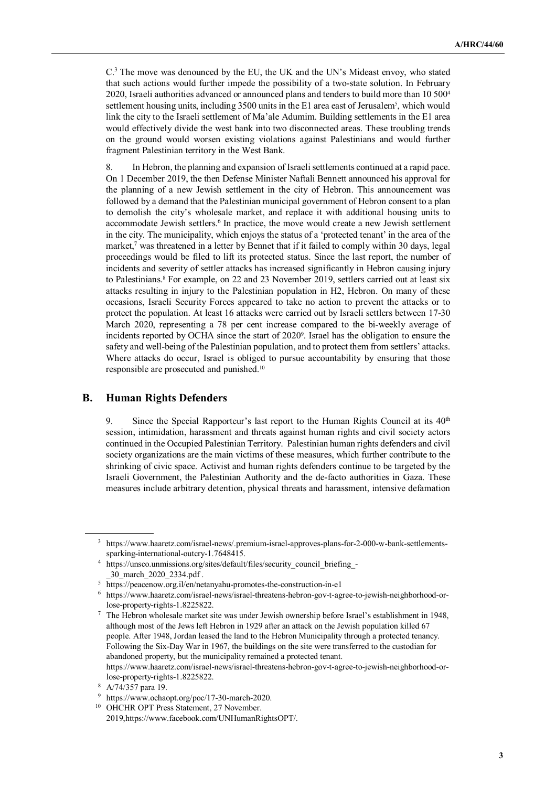C.<sup>3</sup> The move was denounced by the EU, the UK and the UN's Mideast envoy, who stated that such actions would further impede the possibility of a two-state solution. In February 2020, Israeli authorities advanced or announced plans and tenders to build more than 10 500<sup>4</sup> settlement housing units, including 3500 units in the E1 area east of Jerusalem<sup>5</sup>, which would link the city to the Israeli settlement of Ma'ale Adumim. Building settlements in the E1 area would effectively divide the west bank into two disconnected areas. These troubling trends on the ground would worsen existing violations against Palestinians and would further fragment Palestinian territory in the West Bank.

8. In Hebron, the planning and expansion of Israeli settlements continued at a rapid pace. On 1 December 2019, the then Defense Minister Naftali Bennett announced his approval for the planning of a new Jewish settlement in the city of Hebron. This announcement was followed by a demand that the Palestinian municipal government of Hebron consent to a plan to demolish the city's wholesale market, and replace it with additional housing units to accommodate Jewish settlers.<sup>6</sup> In practice, the move would create a new Jewish settlement in the city. The municipality, which enjoys the status of a 'protected tenant' in the area of the market,<sup>7</sup> was threatened in a letter by Bennet that if it failed to comply within 30 days, legal proceedings would be filed to lift its protected status. Since the last report, the number of incidents and severity of settler attacks has increased significantly in Hebron causing injury to Palestinians.<sup>8</sup> For example, on 22 and 23 November 2019, settlers carried out at least six attacks resulting in injury to the Palestinian population in H2, Hebron. On many of these occasions, Israeli Security Forces appeared to take no action to prevent the attacks or to protect the population. At least 16 attacks were carried out by Israeli settlers between 17-30 March 2020, representing a 78 per cent increase compared to the bi-weekly average of incidents reported by OCHA since the start of 2020<sup>9</sup> . Israel has the obligation to ensure the safety and well-being of the Palestinian population, and to protect them from settlers' attacks. Where attacks do occur, Israel is obliged to pursue accountability by ensuring that those responsible are prosecuted and punished.<sup>10</sup>

## **B. Human Rights Defenders**

9. Since the Special Rapporteur's last report to the Human Rights Council at its  $40<sup>th</sup>$ session, intimidation, harassment and threats against human rights and civil society actors continued in the Occupied Palestinian Territory. Palestinian human rights defenders and civil society organizations are the main victims of these measures, which further contribute to the shrinking of civic space. Activist and human rights defenders continue to be targeted by the Israeli Government, the Palestinian Authority and the de-facto authorities in Gaza. These measures include arbitrary detention, physical threats and harassment, intensive defamation

<sup>3</sup> https://www.haaretz.com/israel-news/.premium-israel-approves-plans-for-2-000-w-bank-settlementssparking-international-outcry-1.7648415.

<sup>4</sup> https://unsco.unmissions.org/sites/default/files/security\_council\_briefing\_- \_30\_march\_2020\_2334.pdf .

<sup>5</sup> https://peacenow.org.il/en/netanyahu-promotes-the-construction-in-e1

<sup>6</sup> https://www.haaretz.com/israel-news/israel-threatens-hebron-gov-t-agree-to-jewish-neighborhood-orlose-property-rights-1.8225822.

<sup>7</sup> The Hebron wholesale market site was under Jewish ownership before Israel's establishment in 1948, although most of the Jews left Hebron in 1929 after an attack on the Jewish population killed 67 people. After 1948, Jordan leased the land to the Hebron Municipality through a protected tenancy. Following the Six-Day War in 1967, the buildings on the site were transferred to the custodian for abandoned property, but the municipality remained a protected tenant. https://www.haaretz.com/israel-news/israel-threatens-hebron-gov-t-agree-to-jewish-neighborhood-orlose-property-rights-1.8225822.

<sup>8</sup> A/74/357 para 19.

<sup>9</sup> https://www.ochaopt.org/poc/17-30-march-2020.

<sup>&</sup>lt;sup>10</sup> OHCHR OPT Press Statement, 27 November. 2019,https://www.facebook.com/UNHumanRightsOPT/.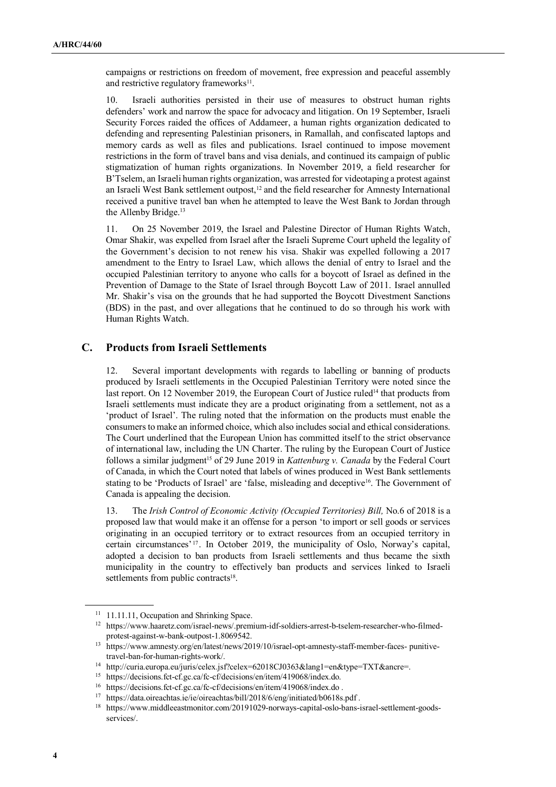campaigns or restrictions on freedom of movement, free expression and peaceful assembly and restrictive regulatory frameworks<sup>11</sup>.

10. Israeli authorities persisted in their use of measures to obstruct human rights defenders' work and narrow the space for advocacy and litigation. On 19 September, Israeli Security Forces raided the offices of Addameer, a human rights organization dedicated to defending and representing Palestinian prisoners, in Ramallah, and confiscated laptops and memory cards as well as files and publications. Israel continued to impose movement restrictions in the form of travel bans and visa denials, and continued its campaign of public stigmatization of human rights organizations. In November 2019, a field researcher for B'Tselem, an Israeli human rights organization, was arrested for videotaping a protest against an Israeli West Bank settlement outpost,<sup>12</sup> and the field researcher for Amnesty International received a punitive travel ban when he attempted to leave the West Bank to Jordan through the Allenby Bridge.<sup>13</sup>

11. On 25 November 2019, the Israel and Palestine Director of Human Rights Watch, Omar Shakir, was expelled from Israel after the Israeli Supreme Court upheld the legality of the Government's decision to not renew his visa. Shakir was expelled following a 2017 amendment to the Entry to Israel Law, which allows the denial of entry to Israel and the occupied Palestinian territory to anyone who calls for a boycott of Israel as defined in the Prevention of Damage to the State of Israel through Boycott Law of 2011. Israel annulled Mr. Shakir's visa on the grounds that he had supported the Boycott Divestment Sanctions (BDS) in the past, and over allegations that he continued to do so through his work with Human Rights Watch.

#### **C. Products from Israeli Settlements**

12. Several important developments with regards to labelling or banning of products produced by Israeli settlements in the Occupied Palestinian Territory were noted since the last report. On 12 November 2019, the European Court of Justice ruled<sup>14</sup> that products from Israeli settlements must indicate they are a product originating from a settlement, not as a 'product of Israel'. The ruling noted that the information on the products must enable the consumers to make an informed choice, which also includes social and ethical considerations. The Court underlined that the European Union has committed itself to the strict observance of international law, including the UN Charter. The ruling by the European Court of Justice follows a similar judgment<sup>15</sup> of 29 June 2019 in *Kattenburg v. Canada* by the Federal Court of Canada, in which the Court noted that labels of wines produced in West Bank settlements stating to be 'Products of Israel' are 'false, misleading and deceptive<sup>16</sup>. The Government of Canada is appealing the decision.

13. The *Irish Control of Economic Activity (Occupied Territories) Bill,* No.6 of 2018 is a proposed law that would make it an offense for a person 'to import or sell goods or services originating in an occupied territory or to extract resources from an occupied territory in certain circumstances' <sup>17</sup> . In October 2019, the municipality of Oslo, Norway's capital, adopted a decision to ban products from Israeli settlements and thus became the sixth municipality in the country to effectively ban products and services linked to Israeli settlements from public contracts<sup>18</sup>.

<sup>&</sup>lt;sup>11</sup> 11.11.11, Occupation and Shrinking Space.

<sup>12</sup> https://www.haaretz.com/israel-news/.premium-idf-soldiers-arrest-b-tselem-researcher-who-filmedprotest-against-w-bank-outpost-1.8069542.

<sup>13</sup> https://www.amnesty.org/en/latest/news/2019/10/israel-opt-amnesty-staff-member-faces- punitivetravel-ban-for-human-rights-work/.

<sup>14</sup> http://curia.europa.eu/juris/celex.jsf?celex=62018CJ0363&lang1=en&type=TXT&ancre=.

<sup>15</sup> https://decisions.fct-cf.gc.ca/fc-cf/decisions/en/item/419068/index.do.

<sup>16</sup> https://decisions.fct-cf.gc.ca/fc-cf/decisions/en/item/419068/index.do .

<sup>&</sup>lt;sup>17</sup> https://data.oireachtas.ie/ie/oireachtas/bill/2018/6/eng/initiated/b0618s.pdf.

<sup>18</sup> https://www.middleeastmonitor.com/20191029-norways-capital-oslo-bans-israel-settlement-goodsservices/.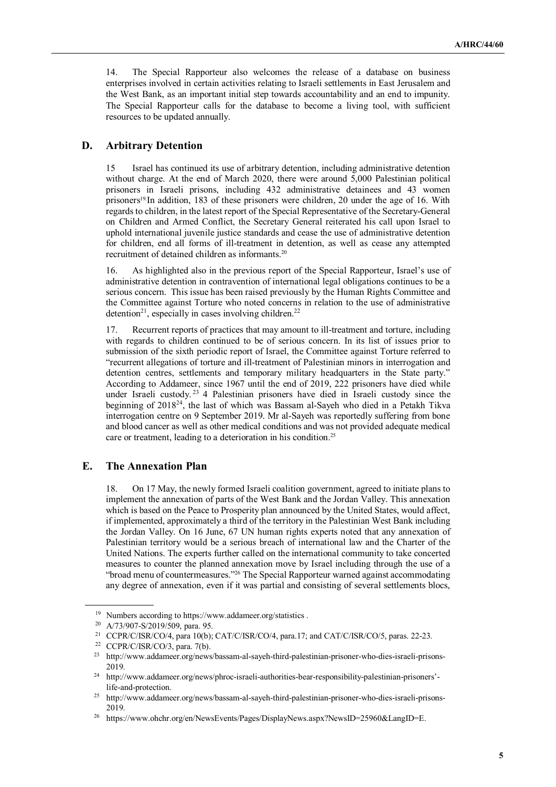14. The Special Rapporteur also welcomes the release of a database on business enterprises involved in certain activities relating to Israeli settlements in East Jerusalem and the West Bank, as an important initial step towards accountability and an end to impunity. The Special Rapporteur calls for the database to become a living tool, with sufficient resources to be updated annually.

#### **D. Arbitrary Detention**

15 Israel has continued its use of arbitrary detention, including administrative detention without charge. At the end of March 2020, there were around 5,000 Palestinian political prisoners in Israeli prisons, including 432 administrative detainees and 43 women prisoners<sup>19.</sup>In addition, 183 of these prisoners were children, 20 under the age of 16. With regards to children, in the latest report of the Special Representative of the Secretary-General on Children and Armed Conflict, the Secretary General reiterated his call upon Israel to uphold international juvenile justice standards and cease the use of administrative detention for children, end all forms of ill-treatment in detention, as well as cease any attempted recruitment of detained children as informants.<sup>20</sup>

16. As highlighted also in the previous report of the Special Rapporteur, Israel's use of administrative detention in contravention of international legal obligations continues to be a serious concern. This issue has been raised previously by the Human Rights Committee and the Committee against Torture who noted concerns in relation to the use of administrative detention<sup>21</sup>, especially in cases involving children.<sup>22</sup>

17. Recurrent reports of practices that may amount to ill-treatment and torture, including with regards to children continued to be of serious concern. In its list of issues prior to submission of the sixth periodic report of Israel, the Committee against Torture referred to "recurrent allegations of torture and ill-treatment of Palestinian minors in interrogation and detention centres, settlements and temporary military headquarters in the State party." According to Addameer, since 1967 until the end of 2019, 222 prisoners have died while under Israeli custody.<sup>23</sup> 4 Palestinian prisoners have died in Israeli custody since the beginning of 2018<sup>24</sup>, the last of which was Bassam al-Sayeh who died in a Petakh Tikva interrogation centre on 9 September 2019. Mr al-Sayeh was reportedly suffering from bone and blood cancer as well as other medical conditions and was not provided adequate medical care or treatment, leading to a deterioration in his condition.<sup>25</sup>

# **E. The Annexation Plan**

18. On 17 May, the newly formed Israeli coalition government, agreed to initiate plans to implement the annexation of parts of the West Bank and the Jordan Valley. This annexation which is based on the Peace to Prosperity plan announced by the United States, would affect, if implemented, approximately a third of the territory in the Palestinian West Bank including the Jordan Valley. On 16 June, 67 UN human rights experts noted that any annexation of Palestinian territory would be a serious breach of international law and the Charter of the United Nations. The experts further called on the international community to take concerted measures to counter the planned annexation move by Israel including through the use of a "broad menu of countermeasures."26 The Special Rapporteur warned against accommodating any degree of annexation, even if it was partial and consisting of several settlements blocs,

<sup>19</sup> Numbers according to https://www.addameer.org/statistics .

<sup>&</sup>lt;sup>20</sup> A/73/907-S/2019/509, para. 95.<br><sup>21</sup> CCPP/C/JSP/CO/4, para. 10(b):

<sup>21</sup> CCPR/C/ISR/CO/4, para 10(b); CAT/C/ISR/CO/4, para.17; and CAT/C/ISR/CO/5, paras. 22-23.

<sup>&</sup>lt;sup>22</sup> CCPR/C/ISR/CO/3, para. 7(b).<br><sup>23</sup> http://www.addameer.org/news

<sup>23</sup> http://www.addameer.org/news/bassam-al-sayeh-third-palestinian-prisoner-who-dies-israeli-prisons-2019.

<sup>&</sup>lt;sup>24</sup> http://www.addameer.org/news/phroc-israeli-authorities-bear-responsibility-palestinian-prisoners'life-and-protection.

<sup>25</sup> http://www.addameer.org/news/bassam-al-sayeh-third-palestinian-prisoner-who-dies-israeli-prisons-2019.

<sup>&</sup>lt;sup>26</sup> https://www.ohchr.org/en/NewsEvents/Pages/DisplayNews.aspx?NewsID=25960&LangID=E.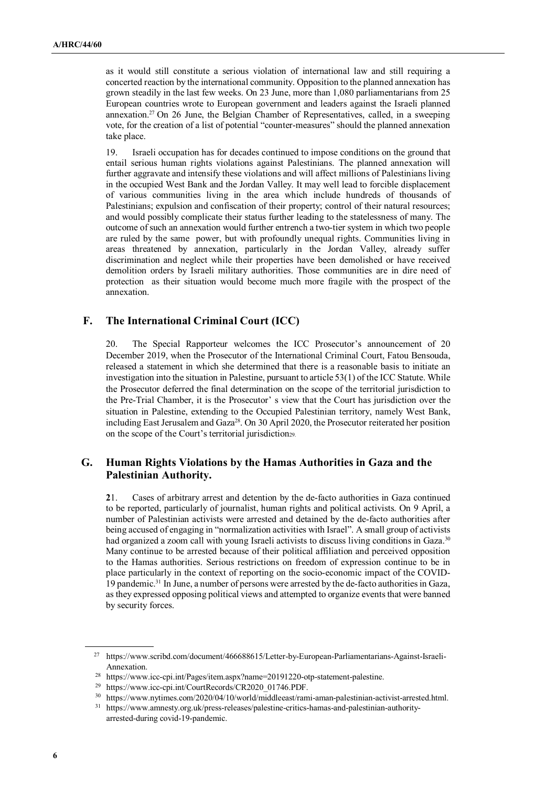as it would still constitute a serious violation of international law and still requiring a concerted reaction by the international community. Opposition to the planned annexation has grown steadily in the last few weeks. On 23 June, more than 1,080 parliamentarians from 25 European countries wrote to European government and leaders against the Israeli planned annexation.27 On 26 June, the Belgian Chamber of Representatives, called, in a sweeping vote, for the creation of a list of potential "counter-measures" should the planned annexation take place.

19. Israeli occupation has for decades continued to impose conditions on the ground that entail serious human rights violations against Palestinians. The planned annexation will further aggravate and intensify these violations and will affect millions of Palestinians living in the occupied West Bank and the Jordan Valley. It may well lead to forcible displacement of various communities living in the area which include hundreds of thousands of Palestinians; expulsion and confiscation of their property; control of their natural resources; and would possibly complicate their status further leading to the statelessness of many. The outcome of such an annexation would further entrench a two-tier system in which two people are ruled by the same power, but with profoundly unequal rights. Communities living in areas threatened by annexation, particularly in the Jordan Valley, already suffer discrimination and neglect while their properties have been demolished or have received demolition orders by Israeli military authorities. Those communities are in dire need of protection as their situation would become much more fragile with the prospect of the annexation.

## **F. The International Criminal Court (ICC)**

20. The Special Rapporteur welcomes the ICC Prosecutor's announcement of 20 December 2019, when the Prosecutor of the International Criminal Court, Fatou Bensouda, released a statement in which she determined that there is a reasonable basis to initiate an investigation into the situation in Palestine, pursuant to article 53(1) of the ICC Statute. While the Prosecutor deferred the final determination on the scope of the territorial jurisdiction to the Pre-Trial Chamber, it is the Prosecutor' s view that the Court has jurisdiction over the situation in Palestine, extending to the Occupied Palestinian territory, namely West Bank, including East Jerusalem and Gaza<sup>28</sup>. On 30 April 2020, the Prosecutor reiterated her position on the scope of the Court's territorial jurisdiction<sub>29</sub>.

## **G. Human Rights Violations by the Hamas Authorities in Gaza and the Palestinian Authority.**

**2**1. Cases of arbitrary arrest and detention by the de-facto authorities in Gaza continued to be reported, particularly of journalist, human rights and political activists. On 9 April, a number of Palestinian activists were arrested and detained by the de-facto authorities after being accused of engaging in "normalization activities with Israel". A small group of activists had organized a zoom call with young Israeli activists to discuss living conditions in Gaza.<sup>30</sup> Many continue to be arrested because of their political affiliation and perceived opposition to the Hamas authorities. Serious restrictions on freedom of expression continue to be in place particularly in the context of reporting on the socio-economic impact of the COVID-19 pandemic.31 In June, a number of persons were arrested by the de-facto authorities in Gaza, as they expressed opposing political views and attempted to organize events that were banned by security forces.

<sup>27</sup> https://www.scribd.com/document/466688615/Letter-by-European-Parliamentarians-Against-Israeli-Annexation.

<sup>28</sup> https://www.icc-cpi.int/Pages/item.aspx?name=20191220-otp-statement-palestine.

<sup>29</sup> https://www.icc-cpi.int/CourtRecords/CR2020\_01746.PDF.

<sup>30</sup> https://www.nytimes.com/2020/04/10/world/middleeast/rami-aman-palestinian-activist-arrested.html.

<sup>31</sup> https://www.amnesty.org.uk/press-releases/palestine-critics-hamas-and-palestinian-authorityarrested-during covid-19-pandemic.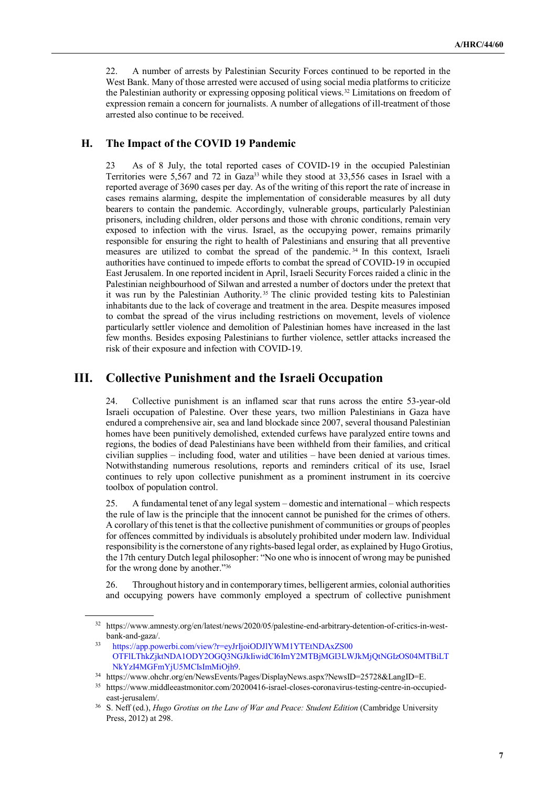22. A number of arrests by Palestinian Security Forces continued to be reported in the West Bank. Many of those arrested were accused of using social media platforms to criticize the Palestinian authority or expressing opposing political views.32 Limitations on freedom of expression remain a concern for journalists. A number of allegations of ill-treatment of those arrested also continue to be received.

### **H. The Impact of the COVID 19 Pandemic**

23 As of 8 July, the total reported cases of COVID-19 in the occupied Palestinian Territories were 5,567 and 72 in Gaza<sup>33</sup> while they stood at 33,556 cases in Israel with a reported average of 3690 cases per day. As of the writing of this report the rate of increase in cases remains alarming, despite the implementation of considerable measures by all duty bearers to contain the pandemic. Accordingly, vulnerable groups, particularly Palestinian prisoners, including children, older persons and those with chronic conditions, remain very exposed to infection with the virus. Israel, as the occupying power, remains primarily responsible for ensuring the right to health of Palestinians and ensuring that all preventive measures are utilized to combat the spread of the pandemic. <sup>34</sup> In this context, Israeli authorities have continued to impede efforts to combat the spread of COVID-19 in occupied East Jerusalem. In one reported incident in April, Israeli Security Forces raided a clinic in the Palestinian neighbourhood of Silwan and arrested a number of doctors under the pretext that it was run by the Palestinian Authority. <sup>35</sup> The clinic provided testing kits to Palestinian inhabitants due to the lack of coverage and treatment in the area. Despite measures imposed to combat the spread of the virus including restrictions on movement, levels of violence particularly settler violence and demolition of Palestinian homes have increased in the last few months. Besides exposing Palestinians to further violence, settler attacks increased the risk of their exposure and infection with COVID-19.

# **III. Collective Punishment and the Israeli Occupation**

24. Collective punishment is an inflamed scar that runs across the entire 53-year-old Israeli occupation of Palestine. Over these years, two million Palestinians in Gaza have endured a comprehensive air, sea and land blockade since 2007, several thousand Palestinian homes have been punitively demolished, extended curfews have paralyzed entire towns and regions, the bodies of dead Palestinians have been withheld from their families, and critical civilian supplies – including food, water and utilities – have been denied at various times. Notwithstanding numerous resolutions, reports and reminders critical of its use, Israel continues to rely upon collective punishment as a prominent instrument in its coercive toolbox of population control.

25. A fundamental tenet of any legal system – domestic and international – which respects the rule of law is the principle that the innocent cannot be punished for the crimes of others. A corollary of this tenet is that the collective punishment of communities or groups of peoples for offences committed by individuals is absolutely prohibited under modern law. Individual responsibility is the cornerstone of any rights-based legal order, as explained by Hugo Grotius, the 17th century Dutch legal philosopher: "No one who is innocent of wrong may be punished for the wrong done by another."<sup>36</sup>

26. Throughout history and in contemporary times, belligerent armies, colonial authorities and occupying powers have commonly employed a spectrum of collective punishment

<sup>32</sup> https://www.amnesty.org/en/latest/news/2020/05/palestine-end-arbitrary-detention-of-critics-in-westbank-and-gaza/.

<sup>33</sup> https://app.powerbi.com/view?r=eyJrIjoiODJlYWM1YTEtNDAxZS00 OTFlLThkZjktNDA1ODY2OGQ3NGJkIiwidCI6ImY2MTBjMGI3LWJkMjQtNGIzOS04MTBiLT NkYzI4MGFmYjU5MCIsImMiOjh9.

<sup>34</sup> https://www.ohchr.org/en/NewsEvents/Pages/DisplayNews.aspx?NewsID=25728&LangID=E.

<sup>35</sup> https://www.middleeastmonitor.com/20200416-israel-closes-coronavirus-testing-centre-in-occupiedeast-jerusalem/.

<sup>36</sup> S. Neff (ed.), *Hugo Grotius on the Law of War and Peace: Student Edition* (Cambridge University Press, 2012) at 298.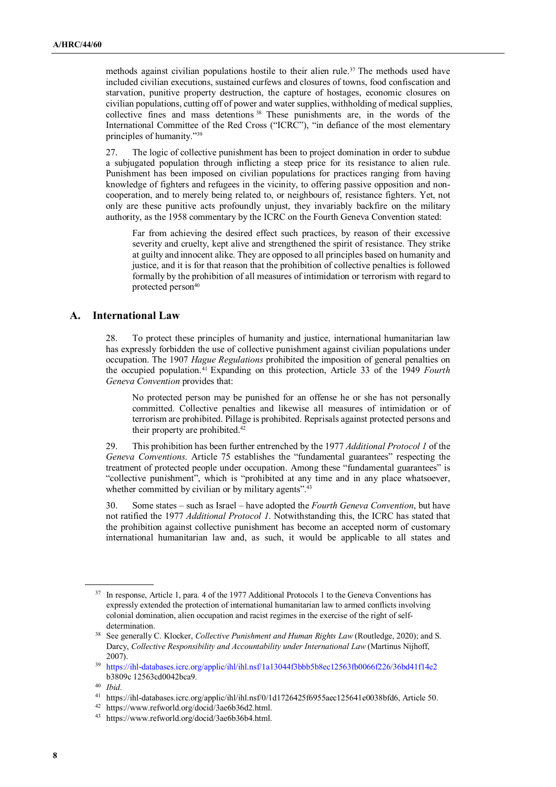methods against civilian populations hostile to their alien rule.<sup>37</sup> The methods used have included civilian executions, sustained curfews and closures of towns, food confiscation and starvation, punitive property destruction, the capture of hostages, economic closures on civilian populations, cutting off of power and water supplies, withholding of medical supplies, collective fines and mass detentions <sup>38</sup> These punishments are, in the words of the International Committee of the Red Cross ("ICRC"), "in defiance of the most elementary principles of humanity."<sup>39</sup>

27. The logic of collective punishment has been to project domination in order to subdue a subjugated population through inflicting a steep price for its resistance to alien rule. Punishment has been imposed on civilian populations for practices ranging from having knowledge of fighters and refugees in the vicinity, to offering passive opposition and noncooperation, and to merely being related to, or neighbours of, resistance fighters. Yet, not only are these punitive acts profoundly unjust, they invariably backfire on the military authority, as the 1958 commentary by the ICRC on the Fourth Geneva Convention stated:

Far from achieving the desired effect such practices, by reason of their excessive severity and cruelty, kept alive and strengthened the spirit of resistance. They strike at guilty and innocent alike. They are opposed to all principles based on humanity and justice, and it is for that reason that the prohibition of collective penalties is followed formally by the prohibition of all measures of intimidation or terrorism with regard to protected person<sup>40</sup>

#### **A. International Law**

28. To protect these principles of humanity and justice, international humanitarian law has expressly forbidden the use of collective punishment against civilian populations under occupation. The 1907 *Hague Regulations* prohibited the imposition of general penalties on the occupied population.41 Expanding on this protection, Article 33 of the 1949 *Fourth Geneva Convention* provides that:

No protected person may be punished for an offense he or she has not personally committed. Collective penalties and likewise all measures of intimidation or of terrorism are prohibited. Pillage is prohibited. Reprisals against protected persons and their property are prohibited.<sup>42</sup>

29. This prohibition has been further entrenched by the 1977 *Additional Protocol 1* of the *Geneva Conventions*. Article 75 establishes the "fundamental guarantees" respecting the treatment of protected people under occupation. Among these "fundamental guarantees" is "collective punishment", which is "prohibited at any time and in any place whatsoever, whether committed by civilian or by military agents".<sup>43</sup>

30. Some states – such as Israel – have adopted the *Fourth Geneva Convention*, but have not ratified the 1977 *Additional Protocol 1*. Notwithstanding this, the ICRC has stated that the prohibition against collective punishment has become an accepted norm of customary international humanitarian law and, as such, it would be applicable to all states and

<sup>37</sup> In response, Article 1, para. 4 of the 1977 Additional Protocols 1 to the Geneva Conventions has expressly extended the protection of international humanitarian law to armed conflicts involving colonial domination, alien occupation and racist regimes in the exercise of the right of selfdetermination.

<sup>38</sup> See generally C. Klocker, *Collective Punishment and Human Rights Law* (Routledge, 2020); and S. Darcy, *Collective Responsibility and Accountability under International Law* (Martinus Nijhoff, 2007).

<sup>39</sup> https://ihl-databases.icrc.org/applic/ihl/ihl.nsf/1a13044f3bbb5b8ec12563fb0066f226/36bd41f14e2 b3809c 12563cd0042bca9.

<sup>40</sup> *Ibid*.

<sup>41</sup> https://ihl-databases.icrc.org/applic/ihl/ihl.nsf/0/1d1726425f6955aec125641e0038bfd6, Article 50.

<sup>42</sup> https://www.refworld.org/docid/3ae6b36d2.html.

<sup>43</sup> https://www.refworld.org/docid/3ae6b36b4.html.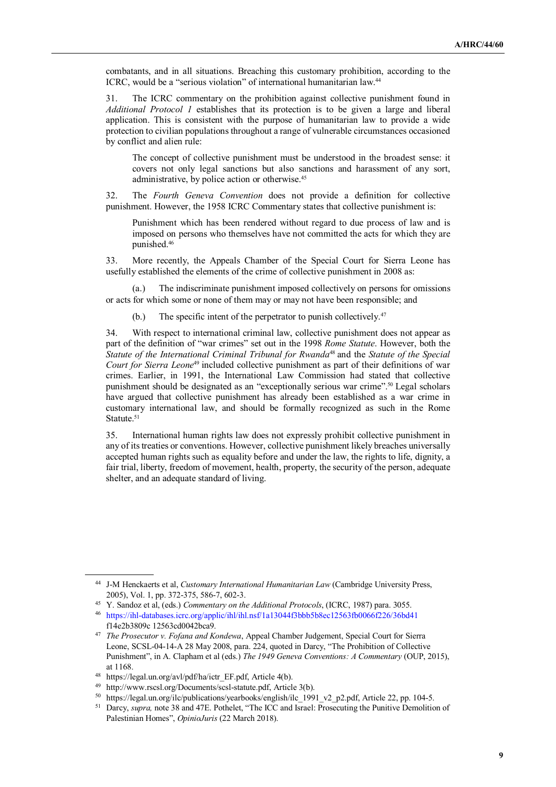combatants, and in all situations. Breaching this customary prohibition, according to the ICRC, would be a "serious violation" of international humanitarian law.<sup>44</sup>

31. The ICRC commentary on the prohibition against collective punishment found in *Additional Protocol 1* establishes that its protection is to be given a large and liberal application. This is consistent with the purpose of humanitarian law to provide a wide protection to civilian populations throughout a range of vulnerable circumstances occasioned by conflict and alien rule:

The concept of collective punishment must be understood in the broadest sense: it covers not only legal sanctions but also sanctions and harassment of any sort, administrative, by police action or otherwise.<sup>45</sup>

32. The *Fourth Geneva Convention* does not provide a definition for collective punishment. However, the 1958 ICRC Commentary states that collective punishment is:

Punishment which has been rendered without regard to due process of law and is imposed on persons who themselves have not committed the acts for which they are punished.<sup>46</sup>

33. More recently, the Appeals Chamber of the Special Court for Sierra Leone has usefully established the elements of the crime of collective punishment in 2008 as:

(a.) The indiscriminate punishment imposed collectively on persons for omissions or acts for which some or none of them may or may not have been responsible; and

(b.) The specific intent of the perpetrator to punish collectively.<sup>47</sup>

34. With respect to international criminal law, collective punishment does not appear as part of the definition of "war crimes" set out in the 1998 *Rome Statute*. However, both the *Statute of the International Criminal Tribunal for Rwanda*<sup>48</sup> and the *Statute of the Special Court for Sierra Leone*<sup>49</sup> included collective punishment as part of their definitions of war crimes. Earlier, in 1991, the International Law Commission had stated that collective punishment should be designated as an "exceptionally serious war crime".<sup>50</sup> Legal scholars have argued that collective punishment has already been established as a war crime in customary international law, and should be formally recognized as such in the Rome Statute.<sup>51</sup>

35. International human rights law does not expressly prohibit collective punishment in any of its treaties or conventions. However, collective punishment likely breaches universally accepted human rights such as equality before and under the law, the rights to life, dignity, a fair trial, liberty, freedom of movement, health, property, the security of the person, adequate shelter, and an adequate standard of living.

<sup>44</sup> J-M Henckaerts et al, *Customary International Humanitarian Law* (Cambridge University Press, 2005), Vol. 1, pp. 372-375, 586-7, 602-3.

<sup>45</sup> Y. Sandoz et al, (eds.) *Commentary on the Additional Protocols*, (ICRC, 1987) para. 3055.

<sup>46</sup> https://ihl-databases.icrc.org/applic/ihl/ihl.nsf/1a13044f3bbb5b8ec12563fb0066f226/36bd41 f14e2b3809c 12563cd0042bca9.

<sup>47</sup> *The Prosecutor v. Fofana and Kondewa*, Appeal Chamber Judgement, Special Court for Sierra Leone, SCSL-04-14-A 28 May 2008, para. 224, quoted in Darcy, "The Prohibition of Collective Punishment", in A. Clapham et al (eds.) *The 1949 Geneva Conventions: A Commentary* (OUP, 2015), at 1168.

<sup>48</sup> https://legal.un.org/avl/pdf/ha/ictr\_EF.pdf, Article 4(b).

<sup>49</sup> http://www.rscsl.org/Documents/scsl-statute.pdf, Article 3(b).

<sup>50</sup> https://legal.un.org/ilc/publications/yearbooks/english/ilc\_1991\_v2\_p2.pdf, Article 22, pp. 104-5.

<sup>&</sup>lt;sup>51</sup> Darcy, *supra*, note 38 and 47E. Pothelet, "The ICC and Israel: Prosecuting the Punitive Demolition of Palestinian Homes", *OpinioJuris* (22 March 2018).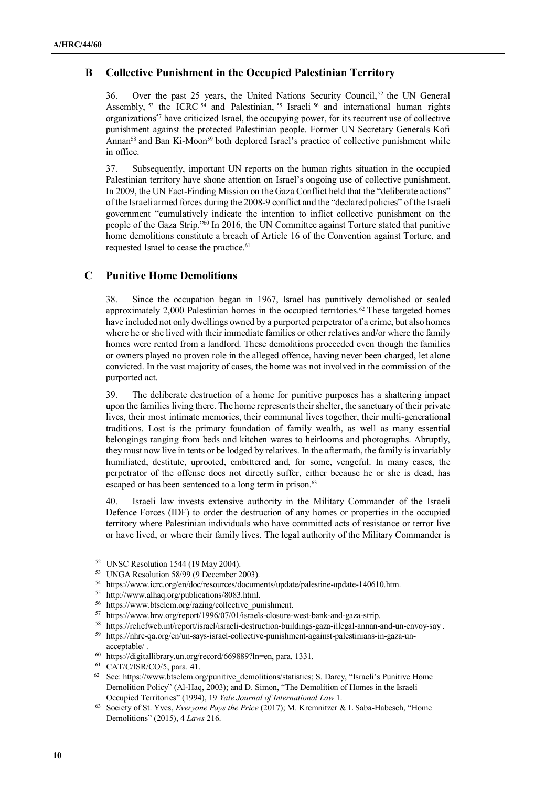# **B Collective Punishment in the Occupied Palestinian Territory**

36. Over the past 25 years, the United Nations Security Council,<sup>52</sup> the UN General Assembly, <sup>53</sup> the ICRC <sup>54</sup> and Palestinian, <sup>55</sup> Israeli <sup>56</sup> and international human rights organizations<sup>57</sup> have criticized Israel, the occupying power, for its recurrent use of collective punishment against the protected Palestinian people. Former UN Secretary Generals Kofi Annan<sup>58</sup> and Ban Ki-Moon<sup>59</sup> both deplored Israel's practice of collective punishment while in office.

37. Subsequently, important UN reports on the human rights situation in the occupied Palestinian territory have shone attention on Israel's ongoing use of collective punishment. In 2009, the UN Fact-Finding Mission on the Gaza Conflict held that the "deliberate actions" of the Israeli armed forces during the 2008-9 conflict and the "declared policies" of the Israeli government "cumulatively indicate the intention to inflict collective punishment on the people of the Gaza Strip."60 In 2016, the UN Committee against Torture stated that punitive home demolitions constitute a breach of Article 16 of the Convention against Torture, and requested Israel to cease the practice.<sup>61</sup>

#### **C Punitive Home Demolitions**

38. Since the occupation began in 1967, Israel has punitively demolished or sealed approximately 2,000 Palestinian homes in the occupied territories.62 These targeted homes have included not only dwellings owned by a purported perpetrator of a crime, but also homes where he or she lived with their immediate families or other relatives and/or where the family homes were rented from a landlord. These demolitions proceeded even though the families or owners played no proven role in the alleged offence, having never been charged, let alone convicted. In the vast majority of cases, the home was not involved in the commission of the purported act.

39. The deliberate destruction of a home for punitive purposes has a shattering impact upon the families living there. The home represents their shelter, the sanctuary of their private lives, their most intimate memories, their communal lives together, their multi-generational traditions. Lost is the primary foundation of family wealth, as well as many essential belongings ranging from beds and kitchen wares to heirlooms and photographs. Abruptly, they must now live in tents or be lodged by relatives. In the aftermath, the family is invariably humiliated, destitute, uprooted, embittered and, for some, vengeful. In many cases, the perpetrator of the offense does not directly suffer, either because he or she is dead, has escaped or has been sentenced to a long term in prison.<sup>63</sup>

40. Israeli law invests extensive authority in the Military Commander of the Israeli Defence Forces (IDF) to order the destruction of any homes or properties in the occupied territory where Palestinian individuals who have committed acts of resistance or terror live or have lived, or where their family lives. The legal authority of the Military Commander is

<sup>52</sup> UNSC Resolution 1544 (19 May 2004).

<sup>53</sup> UNGA Resolution 58/99 (9 December 2003).

<sup>54</sup> https://www.icrc.org/en/doc/resources/documents/update/palestine-update-140610.htm.

<sup>&</sup>lt;sup>55</sup> http://www.alhaq.org/publications/8083.html.<br> $\frac{56}{26}$  https://www.btsolom.org/partiac/collective.nu

<sup>&</sup>lt;sup>56</sup> https://www.btselem.org/razing/collective\_punishment.<br><sup>57</sup> https://www.bry.org/raport/1006/07/01/jsraels.closure.

https://www.hrw.org/report/1996/07/01/israels-closure-west-bank-and-gaza-strip.

<sup>&</sup>lt;sup>58</sup> https://reliefweb.int/report/israel/israeli-destruction-buildings-gaza-illegal-annan-and-un-envoy-say .<br><sup>59</sup> https://phra.ca.org/on/un-eaup israel eallective numishment against pelectinians in gaze un

<sup>59</sup> https://nhrc-qa.org/en/un-says-israel-collective-punishment-against-palestinians-in-gaza-unacceptable/ .

<sup>60</sup> https://digitallibrary.un.org/record/669889?ln=en, para. 1331.

<sup>61</sup> CAT/C/ISR/CO/5, para. 41.

<sup>&</sup>lt;sup>62</sup> See: https://www.btselem.org/punitive\_demolitions/statistics; S. Darcy, "Israeli's Punitive Home Demolition Policy" (Al-Haq, 2003); and D. Simon, "The Demolition of Homes in the Israeli Occupied Territories" (1994), 19 *Yale Journal of International Law* 1.

<sup>63</sup> Society of St. Yves, *Everyone Pays the Price* (2017); M. Kremnitzer & L Saba-Habesch, "Home Demolitions" (2015), 4 *Laws* 216.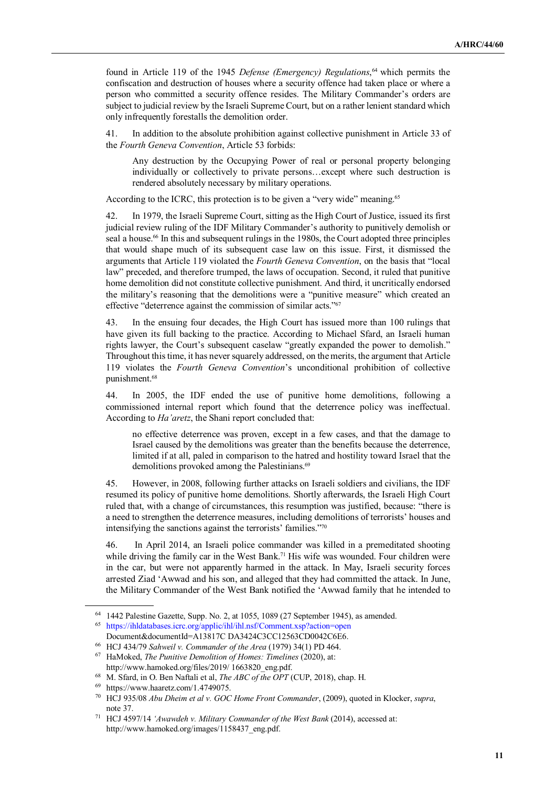found in Article 119 of the 1945 *Defense (Emergency) Regulations*, <sup>64</sup> which permits the confiscation and destruction of houses where a security offence had taken place or where a person who committed a security offence resides. The Military Commander's orders are subject to judicial review by the Israeli Supreme Court, but on a rather lenient standard which only infrequently forestalls the demolition order.

41. In addition to the absolute prohibition against collective punishment in Article 33 of the *Fourth Geneva Convention*, Article 53 forbids:

Any destruction by the Occupying Power of real or personal property belonging individually or collectively to private persons…except where such destruction is rendered absolutely necessary by military operations.

According to the ICRC, this protection is to be given a "very wide" meaning.<sup>65</sup>

42. In 1979, the Israeli Supreme Court, sitting as the High Court of Justice, issued its first judicial review ruling of the IDF Military Commander's authority to punitively demolish or seal a house.<sup>66</sup> In this and subsequent rulings in the 1980s, the Court adopted three principles that would shape much of its subsequent case law on this issue. First, it dismissed the arguments that Article 119 violated the *Fourth Geneva Convention*, on the basis that "local law" preceded, and therefore trumped, the laws of occupation. Second, it ruled that punitive home demolition did not constitute collective punishment. And third, it uncritically endorsed the military's reasoning that the demolitions were a "punitive measure" which created an effective "deterrence against the commission of similar acts."<sup>67</sup>

43. In the ensuing four decades, the High Court has issued more than 100 rulings that have given its full backing to the practice. According to Michael Sfard, an Israeli human rights lawyer, the Court's subsequent caselaw "greatly expanded the power to demolish." Throughout this time, it has never squarely addressed, on the merits, the argument that Article 119 violates the *Fourth Geneva Convention*'s unconditional prohibition of collective punishment.<sup>68</sup>

44. In 2005, the IDF ended the use of punitive home demolitions, following a commissioned internal report which found that the deterrence policy was ineffectual. According to *Ha'aretz*, the Shani report concluded that:

no effective deterrence was proven, except in a few cases, and that the damage to Israel caused by the demolitions was greater than the benefits because the deterrence, limited if at all, paled in comparison to the hatred and hostility toward Israel that the demolitions provoked among the Palestinians.<sup>69</sup>

45. However, in 2008, following further attacks on Israeli soldiers and civilians, the IDF resumed its policy of punitive home demolitions. Shortly afterwards, the Israeli High Court ruled that, with a change of circumstances, this resumption was justified, because: "there is a need to strengthen the deterrence measures, including demolitions of terrorists' houses and intensifying the sanctions against the terrorists' families."<sup>70</sup>

46. In April 2014, an Israeli police commander was killed in a premeditated shooting while driving the family car in the West Bank.<sup>71</sup> His wife was wounded. Four children were in the car, but were not apparently harmed in the attack. In May, Israeli security forces arrested Ziad 'Awwad and his son, and alleged that they had committed the attack. In June, the Military Commander of the West Bank notified the 'Awwad family that he intended to

<sup>64</sup> 1442 Palestine Gazette, Supp. No. 2, at 1055, 1089 (27 September 1945), as amended.

<sup>65</sup> https://ihldatabases.icrc.org/applic/ihl/ihl.nsf/Comment.xsp?action=open Document&documentId=A13817C DA3424C3CC12563CD0042C6E6.

<sup>66</sup> HCJ 434/79 *Sahweil v. Commander of the Area* (1979) 34(1) PD 464.

<sup>67</sup> HaMoked, *The Punitive Demolition of Homes: Timelines* (2020), at: http://www.hamoked.org/files/2019/ 1663820\_eng.pdf.

<sup>68</sup> M. Sfard, in O. Ben Naftali et al, *The ABC of the OPT* (CUP, 2018), chap. H.

<sup>69</sup> https://www.haaretz.com/1.4749075.

<sup>70</sup> HCJ 935/08 *Abu Dheim et al v. GOC Home Front Commander*, (2009), quoted in Klocker, *supra*, note 37.

<sup>71</sup> HCJ 4597/14 *'Awawdeh v. Military Commander of the West Bank* (2014), accessed at: http://www.hamoked.org/images/1158437\_eng.pdf.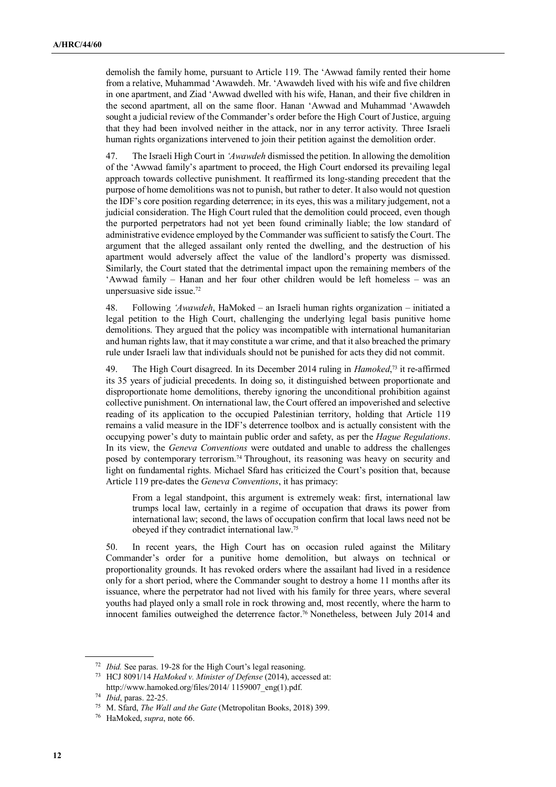demolish the family home, pursuant to Article 119. The 'Awwad family rented their home from a relative, Muhammad 'Awawdeh. Mr. 'Awawdeh lived with his wife and five children in one apartment, and Ziad 'Awwad dwelled with his wife, Hanan, and their five children in the second apartment, all on the same floor. Hanan 'Awwad and Muhammad 'Awawdeh sought a judicial review of the Commander's order before the High Court of Justice, arguing that they had been involved neither in the attack, nor in any terror activity. Three Israeli human rights organizations intervened to join their petition against the demolition order.

47. The Israeli High Court in *'Awawdeh* dismissed the petition. In allowing the demolition of the 'Awwad family's apartment to proceed, the High Court endorsed its prevailing legal approach towards collective punishment. It reaffirmed its long-standing precedent that the purpose of home demolitions was not to punish, but rather to deter. It also would not question the IDF's core position regarding deterrence; in its eyes, this was a military judgement, not a judicial consideration. The High Court ruled that the demolition could proceed, even though the purported perpetrators had not yet been found criminally liable; the low standard of administrative evidence employed by the Commander was sufficient to satisfy the Court. The argument that the alleged assailant only rented the dwelling, and the destruction of his apartment would adversely affect the value of the landlord's property was dismissed. Similarly, the Court stated that the detrimental impact upon the remaining members of the 'Awwad family – Hanan and her four other children would be left homeless – was an unpersuasive side issue.<sup>72</sup>

48. Following *'Awawdeh*, HaMoked – an Israeli human rights organization – initiated a legal petition to the High Court, challenging the underlying legal basis punitive home demolitions. They argued that the policy was incompatible with international humanitarian and human rights law, that it may constitute a war crime, and that it also breached the primary rule under Israeli law that individuals should not be punished for acts they did not commit.

49. The High Court disagreed. In its December 2014 ruling in *Hamoked*,<sup>73</sup> it re-affirmed its 35 years of judicial precedents. In doing so, it distinguished between proportionate and disproportionate home demolitions, thereby ignoring the unconditional prohibition against collective punishment. On international law, the Court offered an impoverished and selective reading of its application to the occupied Palestinian territory, holding that Article 119 remains a valid measure in the IDF's deterrence toolbox and is actually consistent with the occupying power's duty to maintain public order and safety, as per the *Hague Regulations*. In its view, the *Geneva Conventions* were outdated and unable to address the challenges posed by contemporary terrorism.74 Throughout, its reasoning was heavy on security and light on fundamental rights. Michael Sfard has criticized the Court's position that, because Article 119 pre-dates the *Geneva Conventions*, it has primacy:

From a legal standpoint, this argument is extremely weak: first, international law trumps local law, certainly in a regime of occupation that draws its power from international law; second, the laws of occupation confirm that local laws need not be obeyed if they contradict international law.<sup>75</sup>

50. In recent years, the High Court has on occasion ruled against the Military Commander's order for a punitive home demolition, but always on technical or proportionality grounds. It has revoked orders where the assailant had lived in a residence only for a short period, where the Commander sought to destroy a home 11 months after its issuance, where the perpetrator had not lived with his family for three years, where several youths had played only a small role in rock throwing and, most recently, where the harm to innocent families outweighed the deterrence factor.<sup>76</sup> Nonetheless, between July 2014 and

<sup>72</sup> *Ibid.* See paras. 19-28 for the High Court's legal reasoning.

<sup>73</sup> HCJ 8091/14 *HaMoked v. Minister of Defense* (2014), accessed at: http://www.hamoked.org/files/2014/ 1159007\_eng(1).pdf.

<sup>74</sup> *Ibid*, paras. 22-25.

<sup>75</sup> M. Sfard, *The Wall and the Gate* (Metropolitan Books, 2018) 399.

<sup>76</sup> HaMoked, *supra*, note 66.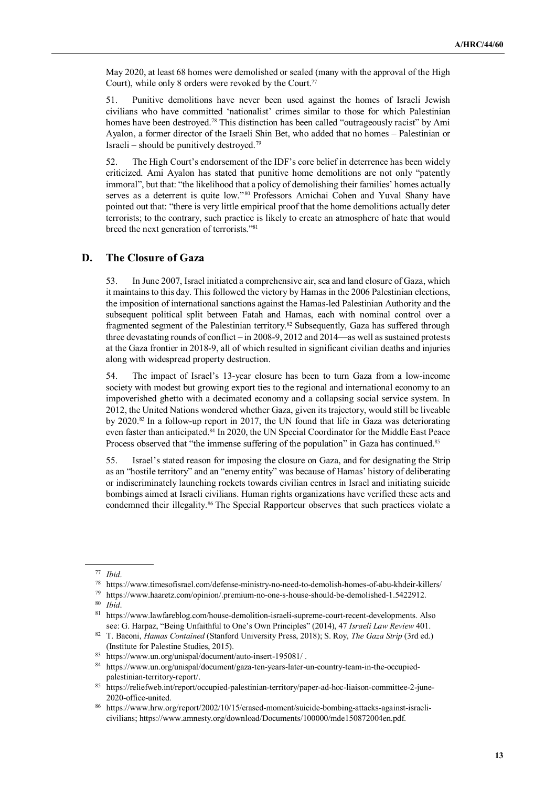May 2020, at least 68 homes were demolished or sealed (many with the approval of the High Court), while only 8 orders were revoked by the Court.<sup>77</sup>

51. Punitive demolitions have never been used against the homes of Israeli Jewish civilians who have committed 'nationalist' crimes similar to those for which Palestinian homes have been destroyed.<sup>78</sup> This distinction has been called "outrageously racist" by Ami Ayalon, a former director of the Israeli Shin Bet, who added that no homes – Palestinian or Israeli – should be punitively destroyed.<sup>79</sup>

52. The High Court's endorsement of the IDF's core belief in deterrence has been widely criticized. Ami Ayalon has stated that punitive home demolitions are not only "patently immoral", but that: "the likelihood that a policy of demolishing their families' homes actually serves as a deterrent is quite low."<sup>80</sup> Professors Amichai Cohen and Yuval Shany have pointed out that: "there is very little empirical proof that the home demolitions actually deter terrorists; to the contrary, such practice is likely to create an atmosphere of hate that would breed the next generation of terrorists."<sup>81</sup>

#### **D. The Closure of Gaza**

53. In June 2007, Israel initiated a comprehensive air, sea and land closure of Gaza, which it maintains to this day. This followed the victory by Hamas in the 2006 Palestinian elections, the imposition of international sanctions against the Hamas-led Palestinian Authority and the subsequent political split between Fatah and Hamas, each with nominal control over a fragmented segment of the Palestinian territory.<sup>82</sup> Subsequently, Gaza has suffered through three devastating rounds of conflict – in 2008-9, 2012 and 2014—as well as sustained protests at the Gaza frontier in 2018-9, all of which resulted in significant civilian deaths and injuries along with widespread property destruction.

54. The impact of Israel's 13-year closure has been to turn Gaza from a low-income society with modest but growing export ties to the regional and international economy to an impoverished ghetto with a decimated economy and a collapsing social service system. In 2012, the United Nations wondered whether Gaza, given its trajectory, would still be liveable by 2020.83 In a follow-up report in 2017, the UN found that life in Gaza was deteriorating even faster than anticipated.84 In 2020, the UN Special Coordinator for the Middle East Peace Process observed that "the immense suffering of the population" in Gaza has continued.<sup>85</sup>

55. Israel's stated reason for imposing the closure on Gaza, and for designating the Strip as an "hostile territory" and an "enemy entity" was because of Hamas' history of deliberating or indiscriminately launching rockets towards civilian centres in Israel and initiating suicide bombings aimed at Israeli civilians. Human rights organizations have verified these acts and condemned their illegality.<sup>86</sup> The Special Rapporteur observes that such practices violate a

 $\overline{a}$ 

<sup>79</sup> https://www.haaretz.com/opinion/.premium-no-one-s-house-should-be-demolished-1.5422912.<br><sup>80</sup> *Ibid* 

<sup>77</sup> *Ibid*.

<sup>78</sup> https://www.timesofisrael.com/defense-ministry-no-need-to-demolish-homes-of-abu-khdeir-killers/

 $\frac{80}{81}$  *Ibid.* 

<sup>81</sup> https://www.lawfareblog.com/house-demolition-israeli-supreme-court-recent-developments. Also see: G. Harpaz, "Being Unfaithful to One's Own Principles" (2014), 47 *Israeli Law Review* 401.

<sup>82</sup> T. Baconi, *Hamas Contained* (Stanford University Press, 2018); S. Roy, *The Gaza Strip* (3rd ed.) (Institute for Palestine Studies, 2015).

https://www.un.org/unispal/document/auto-insert-195081/.

<sup>84</sup> https://www.un.org/unispal/document/gaza-ten-years-later-un-country-team-in-the-occupiedpalestinian-territory-report/.

<sup>85</sup> https://reliefweb.int/report/occupied-palestinian-territory/paper-ad-hoc-liaison-committee-2-june-2020-office-united.

<sup>86</sup> https://www.hrw.org/report/2002/10/15/erased-moment/suicide-bombing-attacks-against-israelicivilians; https://www.amnesty.org/download/Documents/100000/mde150872004en.pdf.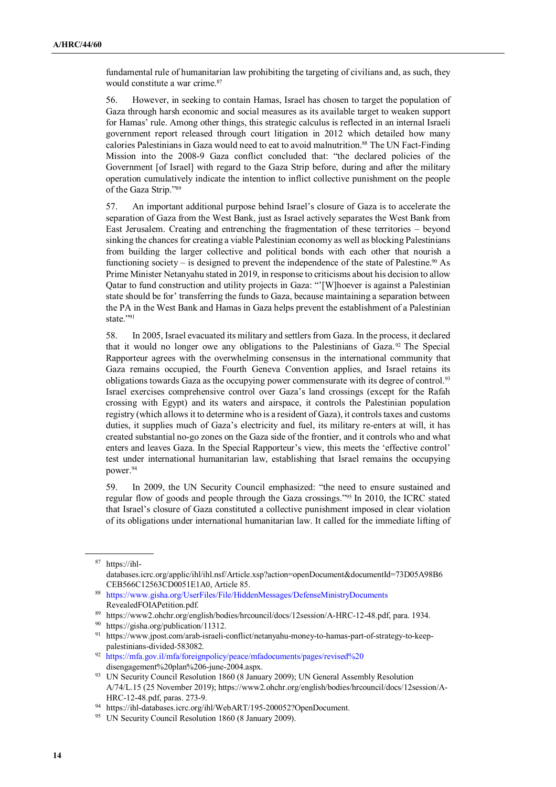fundamental rule of humanitarian law prohibiting the targeting of civilians and, as such, they would constitute a war crime.<sup>87</sup>

56. However, in seeking to contain Hamas, Israel has chosen to target the population of Gaza through harsh economic and social measures as its available target to weaken support for Hamas' rule. Among other things, this strategic calculus is reflected in an internal Israeli government report released through court litigation in 2012 which detailed how many calories Palestinians in Gaza would need to eat to avoid malnutrition.<sup>88</sup> The UN Fact-Finding Mission into the 2008-9 Gaza conflict concluded that: "the declared policies of the Government [of Israel] with regard to the Gaza Strip before, during and after the military operation cumulatively indicate the intention to inflict collective punishment on the people of the Gaza Strip."<sup>89</sup>

57. An important additional purpose behind Israel's closure of Gaza is to accelerate the separation of Gaza from the West Bank, just as Israel actively separates the West Bank from East Jerusalem. Creating and entrenching the fragmentation of these territories – beyond sinking the chances for creating a viable Palestinian economy as well as blocking Palestinians from building the larger collective and political bonds with each other that nourish a functioning society – is designed to prevent the independence of the state of Palestine.<sup>90</sup> As Prime Minister Netanyahu stated in 2019, in response to criticisms about his decision to allow Qatar to fund construction and utility projects in Gaza: "'[W]hoever is against a Palestinian state should be for' transferring the funds to Gaza, because maintaining a separation between the PA in the West Bank and Hamas in Gaza helps prevent the establishment of a Palestinian state."91

58. In 2005, Israel evacuated its military and settlers from Gaza. In the process, it declared that it would no longer owe any obligations to the Palestinians of Gaza.<sup>92</sup> The Special Rapporteur agrees with the overwhelming consensus in the international community that Gaza remains occupied, the Fourth Geneva Convention applies, and Israel retains its obligations towards Gaza as the occupying power commensurate with its degree of control.<sup>93</sup> Israel exercises comprehensive control over Gaza's land crossings (except for the Rafah crossing with Egypt) and its waters and airspace, it controls the Palestinian population registry (which allows it to determine who is a resident of Gaza), it controls taxes and customs duties, it supplies much of Gaza's electricity and fuel, its military re-enters at will, it has created substantial no-go zones on the Gaza side of the frontier, and it controls who and what enters and leaves Gaza. In the Special Rapporteur's view, this meets the 'effective control' test under international humanitarian law, establishing that Israel remains the occupying power.<sup>94</sup>

59. In 2009, the UN Security Council emphasized: "the need to ensure sustained and regular flow of goods and people through the Gaza crossings."95 In 2010, the ICRC stated that Israel's closure of Gaza constituted a collective punishment imposed in clear violation of its obligations under international humanitarian law. It called for the immediate lifting of

<sup>87</sup> https://ihl-

databases.icrc.org/applic/ihl/ihl.nsf/Article.xsp?action=openDocument&documentId=73D05A98B6 CEB566C12563CD0051E1A0, Article 85.

<sup>88</sup> https://www.gisha.org/UserFiles/File/HiddenMessages/DefenseMinistryDocuments RevealedFOIAPetition.pdf.

<sup>89</sup> https://www2.ohchr.org/english/bodies/hrcouncil/docs/12session/A-HRC-12-48.pdf, para. 1934.

<sup>90</sup> https://gisha.org/publication/11312.

<sup>91</sup> https://www.jpost.com/arab-israeli-conflict/netanyahu-money-to-hamas-part-of-strategy-to-keeppalestinians-divided-583082.

<sup>92</sup> https://mfa.gov.il/mfa/foreignpolicy/peace/mfadocuments/pages/revised%20 disengagement%20plan%206-june-2004.aspx.

<sup>&</sup>lt;sup>93</sup> UN Security Council Resolution 1860 (8 January 2009); UN General Assembly Resolution A/74/L.15 (25 November 2019); https://www2.ohchr.org/english/bodies/hrcouncil/docs/12session/A-HRC-12-48.pdf, paras. 273-9.

<sup>94</sup> https://ihl-databases.icrc.org/ihl/WebART/195-200052?OpenDocument.

<sup>&</sup>lt;sup>95</sup> UN Security Council Resolution 1860 (8 January 2009).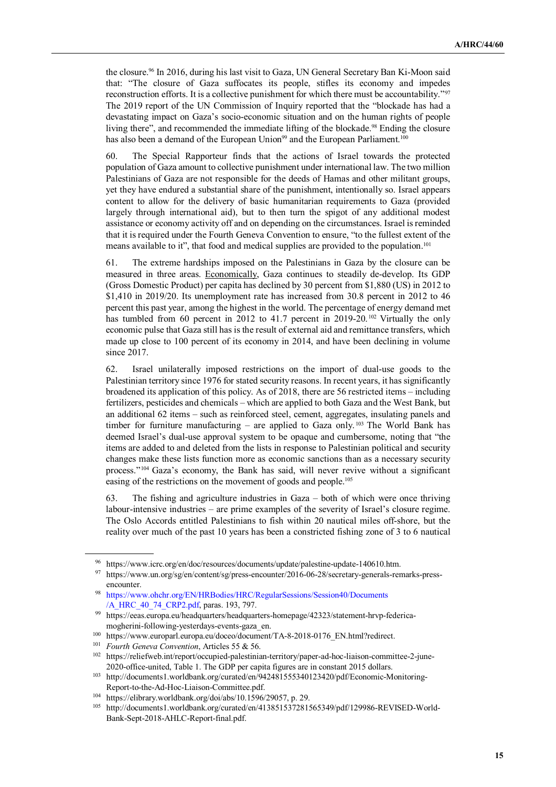the closure.96 In 2016, during his last visit to Gaza, UN General Secretary Ban Ki-Moon said that: "The closure of Gaza suffocates its people, stifles its economy and impedes reconstruction efforts. It is a collective punishment for which there must be accountability."<sup>97</sup> The 2019 report of the UN Commission of Inquiry reported that the "blockade has had a devastating impact on Gaza's socio-economic situation and on the human rights of people living there", and recommended the immediate lifting of the blockade.<sup>98</sup> Ending the closure has also been a demand of the European Union<sup>99</sup> and the European Parliament.<sup>100</sup>

60. The Special Rapporteur finds that the actions of Israel towards the protected population of Gaza amount to collective punishment under international law. The two million Palestinians of Gaza are not responsible for the deeds of Hamas and other militant groups, yet they have endured a substantial share of the punishment, intentionally so. Israel appears content to allow for the delivery of basic humanitarian requirements to Gaza (provided largely through international aid), but to then turn the spigot of any additional modest assistance or economy activity off and on depending on the circumstances. Israel is reminded that it is required under the Fourth Geneva Convention to ensure, "to the fullest extent of the means available to it", that food and medical supplies are provided to the population.<sup>101</sup>

61. The extreme hardships imposed on the Palestinians in Gaza by the closure can be measured in three areas. Economically, Gaza continues to steadily de-develop. Its GDP (Gross Domestic Product) per capita has declined by 30 percent from \$1,880 (US) in 2012 to \$1,410 in 2019/20. Its unemployment rate has increased from 30.8 percent in 2012 to 46 percent this past year, among the highest in the world. The percentage of energy demand met has tumbled from 60 percent in 2012 to 41.7 percent in 2019-20.<sup>102</sup> Virtually the only economic pulse that Gaza still has is the result of external aid and remittance transfers, which made up close to 100 percent of its economy in 2014, and have been declining in volume since 2017.

62. Israel unilaterally imposed restrictions on the import of dual-use goods to the Palestinian territory since 1976 for stated security reasons. In recent years, it has significantly broadened its application of this policy. As of 2018, there are 56 restricted items – including fertilizers, pesticides and chemicals – which are applied to both Gaza and the West Bank, but an additional 62 items – such as reinforced steel, cement, aggregates, insulating panels and timber for furniture manufacturing – are applied to Gaza only.<sup>103</sup> The World Bank has deemed Israel's dual-use approval system to be opaque and cumbersome, noting that "the items are added to and deleted from the lists in response to Palestinian political and security changes make these lists function more as economic sanctions than as a necessary security process."104 Gaza's economy, the Bank has said, will never revive without a significant easing of the restrictions on the movement of goods and people.<sup>105</sup>

63. The fishing and agriculture industries in Gaza – both of which were once thriving labour-intensive industries – are prime examples of the severity of Israel's closure regime. The Oslo Accords entitled Palestinians to fish within 20 nautical miles off-shore, but the reality over much of the past 10 years has been a constricted fishing zone of 3 to 6 nautical

<sup>96</sup> https://www.icrc.org/en/doc/resources/documents/update/palestine-update-140610.htm.

<sup>97</sup> https://www.un.org/sg/en/content/sg/press-encounter/2016-06-28/secretary-generals-remarks-pressencounter.

<sup>98</sup> https://www.ohchr.org/EN/HRBodies/HRC/RegularSessions/Session40/Documents /A\_HRC\_40\_74\_CRP2.pdf, paras. 193, 797.

https://eeas.europa.eu/headquarters/headquarters-homepage/42323/statement-hrvp-federicamogherini-following-yesterdays-events-gaza\_en.

<sup>&</sup>lt;sup>100</sup> https://www.europarl.europa.eu/doceo/document/TA-8-2018-0176 EN.html?redirect.

<sup>101</sup> *Fourth Geneva Convention*, Articles 55 & 56.

<sup>102</sup> https://reliefweb.int/report/occupied-palestinian-territory/paper-ad-hoc-liaison-committee-2-june-2020-office-united, Table 1. The GDP per capita figures are in constant 2015 dollars.

<sup>103</sup> http://documents1.worldbank.org/curated/en/942481555340123420/pdf/Economic-Monitoring-Report-to-the-Ad-Hoc-Liaison-Committee.pdf.

<sup>&</sup>lt;sup>104</sup> https://elibrary.worldbank.org/doi/abs/10.1596/29057, p. 29.

<sup>105</sup> http://documents1.worldbank.org/curated/en/413851537281565349/pdf/129986-REVISED-World-Bank-Sept-2018-AHLC-Report-final.pdf.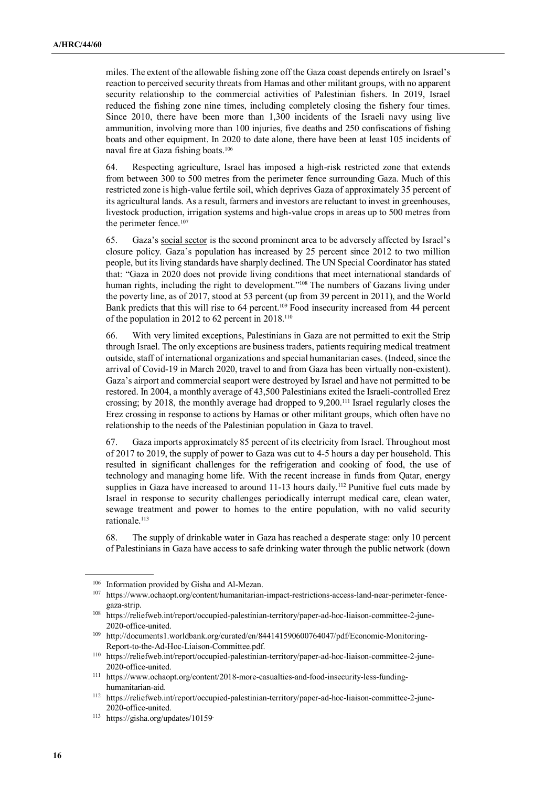miles. The extent of the allowable fishing zone off the Gaza coast depends entirely on Israel's reaction to perceived security threats from Hamas and other militant groups, with no apparent security relationship to the commercial activities of Palestinian fishers. In 2019, Israel reduced the fishing zone nine times, including completely closing the fishery four times. Since 2010, there have been more than 1,300 incidents of the Israeli navy using live ammunition, involving more than 100 injuries, five deaths and 250 confiscations of fishing boats and other equipment. In 2020 to date alone, there have been at least 105 incidents of naval fire at Gaza fishing boats.<sup>106</sup>

64. Respecting agriculture, Israel has imposed a high-risk restricted zone that extends from between 300 to 500 metres from the perimeter fence surrounding Gaza. Much of this restricted zone is high-value fertile soil, which deprives Gaza of approximately 35 percent of its agricultural lands. As a result, farmers and investors are reluctant to invest in greenhouses, livestock production, irrigation systems and high-value crops in areas up to 500 metres from the perimeter fence.<sup>107</sup>

65. Gaza's social sector is the second prominent area to be adversely affected by Israel's closure policy. Gaza's population has increased by 25 percent since 2012 to two million people, but its living standards have sharply declined. The UN Special Coordinator has stated that: "Gaza in 2020 does not provide living conditions that meet international standards of human rights, including the right to development."<sup>108</sup> The numbers of Gazans living under the poverty line, as of 2017, stood at 53 percent (up from 39 percent in 2011), and the World Bank predicts that this will rise to 64 percent.<sup>109</sup> Food insecurity increased from 44 percent of the population in 2012 to 62 percent in 2018.<sup>110</sup>

66. With very limited exceptions, Palestinians in Gaza are not permitted to exit the Strip through Israel. The only exceptions are business traders, patients requiring medical treatment outside, staff of international organizations and special humanitarian cases. (Indeed, since the arrival of Covid-19 in March 2020, travel to and from Gaza has been virtually non-existent). Gaza's airport and commercial seaport were destroyed by Israel and have not permitted to be restored. In 2004, a monthly average of 43,500 Palestinians exited the Israeli-controlled Erez crossing; by 2018, the monthly average had dropped to 9,200.111 Israel regularly closes the Erez crossing in response to actions by Hamas or other militant groups, which often have no relationship to the needs of the Palestinian population in Gaza to travel.

67. Gaza imports approximately 85 percent of its electricity from Israel. Throughout most of 2017 to 2019, the supply of power to Gaza was cut to 4-5 hours a day per household. This resulted in significant challenges for the refrigeration and cooking of food, the use of technology and managing home life. With the recent increase in funds from Qatar, energy supplies in Gaza have increased to around 11-13 hours daily.<sup>112</sup> Punitive fuel cuts made by Israel in response to security challenges periodically interrupt medical care, clean water, sewage treatment and power to homes to the entire population, with no valid security rationale.<sup>113</sup>

68. The supply of drinkable water in Gaza has reached a desperate stage: only 10 percent of Palestinians in Gaza have access to safe drinking water through the public network (down

<sup>&</sup>lt;sup>106</sup> Information provided by Gisha and Al-Mezan.

https://www.ochaopt.org/content/humanitarian-impact-restrictions-access-land-near-perimeter-fencegaza-strip.

 <sup>108</sup> https://reliefweb.int/report/occupied-palestinian-territory/paper-ad-hoc-liaison-committee-2-june-2020-office-united.

 <sup>109</sup> http://documents1.worldbank.org/curated/en/844141590600764047/pdf/Economic-Monitoring-Report-to-the-Ad-Hoc-Liaison-Committee.pdf.

 <sup>110</sup> https://reliefweb.int/report/occupied-palestinian-territory/paper-ad-hoc-liaison-committee-2-june-2020-office-united.

 <sup>111</sup> https://www.ochaopt.org/content/2018-more-casualties-and-food-insecurity-less-fundinghumanitarian-aid.

 <sup>112</sup> https://reliefweb.int/report/occupied-palestinian-territory/paper-ad-hoc-liaison-committee-2-june-2020-office-united.

 <sup>113</sup> https://gisha.org/updates/10159.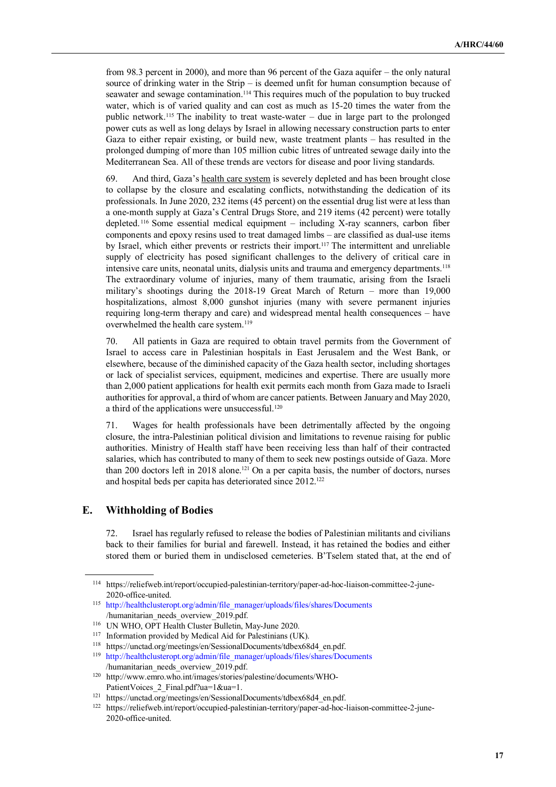from 98.3 percent in 2000), and more than 96 percent of the Gaza aquifer – the only natural source of drinking water in the Strip – is deemed unfit for human consumption because of seawater and sewage contamination.114 This requires much of the population to buy trucked water, which is of varied quality and can cost as much as 15-20 times the water from the public network.115 The inability to treat waste-water – due in large part to the prolonged power cuts as well as long delays by Israel in allowing necessary construction parts to enter Gaza to either repair existing, or build new, waste treatment plants – has resulted in the prolonged dumping of more than 105 million cubic litres of untreated sewage daily into the Mediterranean Sea. All of these trends are vectors for disease and poor living standards.

69. And third, Gaza's health care system is severely depleted and has been brought close to collapse by the closure and escalating conflicts, notwithstanding the dedication of its professionals. In June 2020, 232 items (45 percent) on the essential drug list were at less than a one-month supply at Gaza's Central Drugs Store, and 219 items (42 percent) were totally depleted. <sup>116</sup> Some essential medical equipment – including X-ray scanners, carbon fiber components and epoxy resins used to treat damaged limbs – are classified as dual-use items by Israel, which either prevents or restricts their import.<sup>117</sup> The intermittent and unreliable supply of electricity has posed significant challenges to the delivery of critical care in intensive care units, neonatal units, dialysis units and trauma and emergency departments.<sup>118</sup> The extraordinary volume of injuries, many of them traumatic, arising from the Israeli military's shootings during the 2018-19 Great March of Return – more than 19,000 hospitalizations, almost 8,000 gunshot injuries (many with severe permanent injuries requiring long-term therapy and care) and widespread mental health consequences – have overwhelmed the health care system.<sup>119</sup>

70. All patients in Gaza are required to obtain travel permits from the Government of Israel to access care in Palestinian hospitals in East Jerusalem and the West Bank, or elsewhere, because of the diminished capacity of the Gaza health sector, including shortages or lack of specialist services, equipment, medicines and expertise. There are usually more than 2,000 patient applications for health exit permits each month from Gaza made to Israeli authorities for approval, a third of whom are cancer patients. Between January and May 2020, a third of the applications were unsuccessful.<sup>120</sup>

71. Wages for health professionals have been detrimentally affected by the ongoing closure, the intra-Palestinian political division and limitations to revenue raising for public authorities. Ministry of Health staff have been receiving less than half of their contracted salaries, which has contributed to many of them to seek new postings outside of Gaza. More than 200 doctors left in 2018 alone.<sup>121</sup> On a per capita basis, the number of doctors, nurses and hospital beds per capita has deteriorated since 2012.<sup>122</sup>

#### **E. Withholding of Bodies**

 $\overline{a}$ 

72. Israel has regularly refused to release the bodies of Palestinian militants and civilians back to their families for burial and farewell. Instead, it has retained the bodies and either stored them or buried them in undisclosed cemeteries. B'Tselem stated that, at the end of

<sup>114</sup> https://reliefweb.int/report/occupied-palestinian-territory/paper-ad-hoc-liaison-committee-2-june-2020-office-united.

<sup>115</sup> http://healthclusteropt.org/admin/file\_manager/uploads/files/shares/Documents /humanitarian\_needs\_overview\_2019.pdf.

<sup>&</sup>lt;sup>116</sup> UN WHO, OPT Health Cluster Bulletin, May-June 2020.<br><sup>117</sup> Information provided by Medical Aid for Palestinians (U

Information provided by Medical Aid for Palestinians (UK).

 $118$  https://unctad.org/meetings/en/SessionalDocuments/tdbex68d4\_en.pdf.

<sup>119</sup> http://healthclusteropt.org/admin/file\_manager/uploads/files/shares/Documents /humanitarian\_needs\_overview\_2019.pdf.

<sup>120</sup> http://www.emro.who.int/images/stories/palestine/documents/WHO-PatientVoices 2 Final.pdf?ua=1&ua=1.

<sup>121</sup> https://unctad.org/meetings/en/SessionalDocuments/tdbex68d4\_en.pdf.

<sup>122</sup> https://reliefweb.int/report/occupied-palestinian-territory/paper-ad-hoc-liaison-committee-2-june-2020-office-united.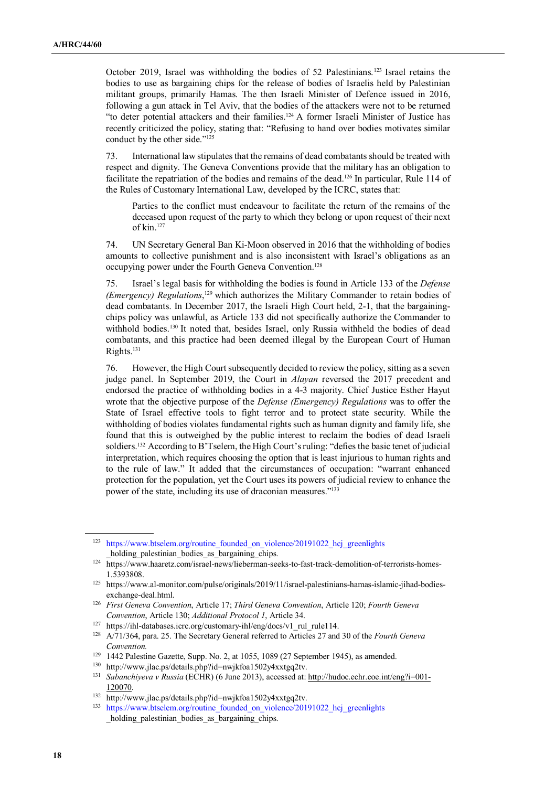October 2019, Israel was withholding the bodies of 52 Palestinians.123 Israel retains the bodies to use as bargaining chips for the release of bodies of Israelis held by Palestinian militant groups, primarily Hamas. The then Israeli Minister of Defence issued in 2016, following a gun attack in Tel Aviv, that the bodies of the attackers were not to be returned "to deter potential attackers and their families.<sup>124</sup> A former Israeli Minister of Justice has recently criticized the policy, stating that: "Refusing to hand over bodies motivates similar conduct by the other side."<sup>125</sup>

73. International law stipulates that the remains of dead combatants should be treated with respect and dignity. The Geneva Conventions provide that the military has an obligation to facilitate the repatriation of the bodies and remains of the dead.<sup>126</sup> In particular, Rule 114 of the Rules of Customary International Law, developed by the ICRC, states that:

Parties to the conflict must endeavour to facilitate the return of the remains of the deceased upon request of the party to which they belong or upon request of their next of kin.<sup>127</sup>

74. UN Secretary General Ban Ki-Moon observed in 2016 that the withholding of bodies amounts to collective punishment and is also inconsistent with Israel's obligations as an occupying power under the Fourth Geneva Convention.<sup>128</sup>

75. Israel's legal basis for withholding the bodies is found in Article 133 of the *Defense (Emergency) Regulations*, <sup>129</sup> which authorizes the Military Commander to retain bodies of dead combatants. In December 2017, the Israeli High Court held, 2-1, that the bargainingchips policy was unlawful, as Article 133 did not specifically authorize the Commander to withhold bodies.130 It noted that, besides Israel, only Russia withheld the bodies of dead combatants, and this practice had been deemed illegal by the European Court of Human Rights.<sup>131</sup>

76. However, the High Court subsequently decided to review the policy, sitting as a seven judge panel. In September 2019, the Court in *Alayan* reversed the 2017 precedent and endorsed the practice of withholding bodies in a 4-3 majority. Chief Justice Esther Hayut wrote that the objective purpose of the *Defense (Emergency) Regulations* was to offer the State of Israel effective tools to fight terror and to protect state security. While the withholding of bodies violates fundamental rights such as human dignity and family life, she found that this is outweighed by the public interest to reclaim the bodies of dead Israeli soldiers.132 According to B'Tselem, the High Court's ruling: "defies the basic tenet of judicial interpretation, which requires choosing the option that is least injurious to human rights and to the rule of law." It added that the circumstances of occupation: "warrant enhanced protection for the population, yet the Court uses its powers of judicial review to enhance the power of the state, including its use of draconian measures."<sup>133</sup>

<sup>&</sup>lt;sup>123</sup> https://www.btselem.org/routine founded on violence/20191022 hcj greenlights holding palestinian bodies as bargaining chips.

<sup>124</sup> https://www.haaretz.com/israel-news/lieberman-seeks-to-fast-track-demolition-of-terrorists-homes-1.5393808.

<sup>125</sup> https://www.al-monitor.com/pulse/originals/2019/11/israel-palestinians-hamas-islamic-jihad-bodiesexchange-deal.html.

<sup>126</sup> *First Geneva Convention*, Article 17; *Third Geneva Convention*, Article 120; *Fourth Geneva Convention*, Article 130; *Additional Protocol 1*, Article 34.

<sup>127</sup> https://ihl-databases.icrc.org/customary-ihl/eng/docs/v1\_rul\_rule114.

<sup>128</sup>A/71/364, para. 25. The Secretary General referred to Articles 27 and 30 of the *Fourth Geneva Convention.* 

<sup>&</sup>lt;sup>129</sup> 1442 Palestine Gazette, Supp. No. 2, at 1055, 1089 (27 September 1945), as amended.

<sup>130</sup> http://www.jlac.ps/details.php?id=nwjkfoa1502y4xxtgq2tv.

<sup>131</sup> *Sabanchiyeva v Russia* (ECHR) (6 June 2013), accessed at: http://hudoc.echr.coe.int/eng?i=001- 120070.

<sup>132</sup> http://www.jlac.ps/details.php?id=nwjkfoa1502y4xxtgq2tv.

<sup>&</sup>lt;sup>133</sup> https://www.btselem.org/routine founded on violence/20191022 hcj greenlights holding palestinian bodies as bargaining chips.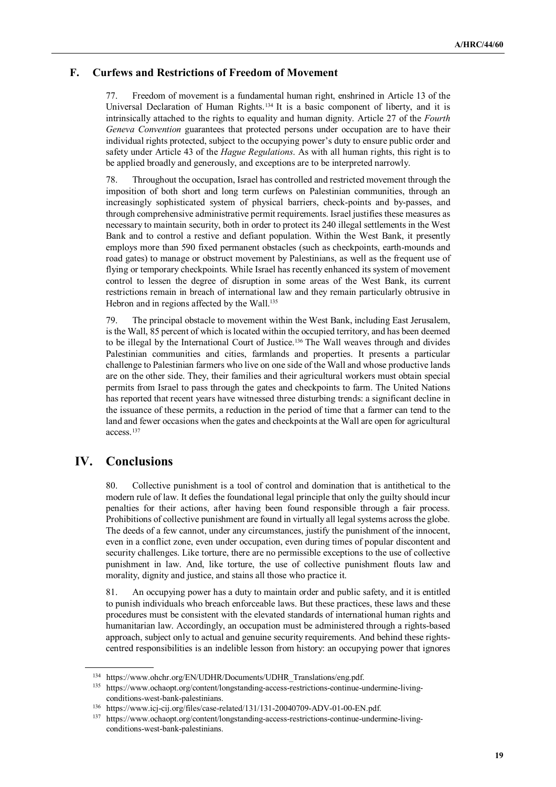# **F. Curfews and Restrictions of Freedom of Movement**

77. Freedom of movement is a fundamental human right, enshrined in Article 13 of the Universal Declaration of Human Rights.134 It is a basic component of liberty, and it is intrinsically attached to the rights to equality and human dignity. Article 27 of the *Fourth Geneva Convention* guarantees that protected persons under occupation are to have their individual rights protected, subject to the occupying power's duty to ensure public order and safety under Article 43 of the *Hague Regulations*. As with all human rights, this right is to be applied broadly and generously, and exceptions are to be interpreted narrowly.

78. Throughout the occupation, Israel has controlled and restricted movement through the imposition of both short and long term curfews on Palestinian communities, through an increasingly sophisticated system of physical barriers, check-points and by-passes, and through comprehensive administrative permit requirements. Israel justifies these measures as necessary to maintain security, both in order to protect its 240 illegal settlements in the West Bank and to control a restive and defiant population. Within the West Bank, it presently employs more than 590 fixed permanent obstacles (such as checkpoints, earth-mounds and road gates) to manage or obstruct movement by Palestinians, as well as the frequent use of flying or temporary checkpoints. While Israel has recently enhanced its system of movement control to lessen the degree of disruption in some areas of the West Bank, its current restrictions remain in breach of international law and they remain particularly obtrusive in Hebron and in regions affected by the Wall.<sup>135</sup>

79. The principal obstacle to movement within the West Bank, including East Jerusalem, is the Wall, 85 percent of which is located within the occupied territory, and has been deemed to be illegal by the International Court of Justice.<sup>136</sup> The Wall weaves through and divides Palestinian communities and cities, farmlands and properties. It presents a particular challenge to Palestinian farmers who live on one side of the Wall and whose productive lands are on the other side. They, their families and their agricultural workers must obtain special permits from Israel to pass through the gates and checkpoints to farm. The United Nations has reported that recent years have witnessed three disturbing trends: a significant decline in the issuance of these permits, a reduction in the period of time that a farmer can tend to the land and fewer occasions when the gates and checkpoints at the Wall are open for agricultural access.<sup>137</sup>

# **IV. Conclusions**

 $\overline{a}$ 

80. Collective punishment is a tool of control and domination that is antithetical to the modern rule of law. It defies the foundational legal principle that only the guilty should incur penalties for their actions, after having been found responsible through a fair process. Prohibitions of collective punishment are found in virtually all legal systems across the globe. The deeds of a few cannot, under any circumstances, justify the punishment of the innocent, even in a conflict zone, even under occupation, even during times of popular discontent and security challenges. Like torture, there are no permissible exceptions to the use of collective punishment in law. And, like torture, the use of collective punishment flouts law and morality, dignity and justice, and stains all those who practice it.

81. An occupying power has a duty to maintain order and public safety, and it is entitled to punish individuals who breach enforceable laws. But these practices, these laws and these procedures must be consistent with the elevated standards of international human rights and humanitarian law. Accordingly, an occupation must be administered through a rights-based approach, subject only to actual and genuine security requirements. And behind these rightscentred responsibilities is an indelible lesson from history: an occupying power that ignores

<sup>134</sup> https://www.ohchr.org/EN/UDHR/Documents/UDHR\_Translations/eng.pdf.

<sup>135</sup> https://www.ochaopt.org/content/longstanding-access-restrictions-continue-undermine-livingconditions-west-bank-palestinians.

<sup>136</sup> https://www.icj-cij.org/files/case-related/131/131-20040709-ADV-01-00-EN.pdf.

<sup>137</sup> https://www.ochaopt.org/content/longstanding-access-restrictions-continue-undermine-livingconditions-west-bank-palestinians.